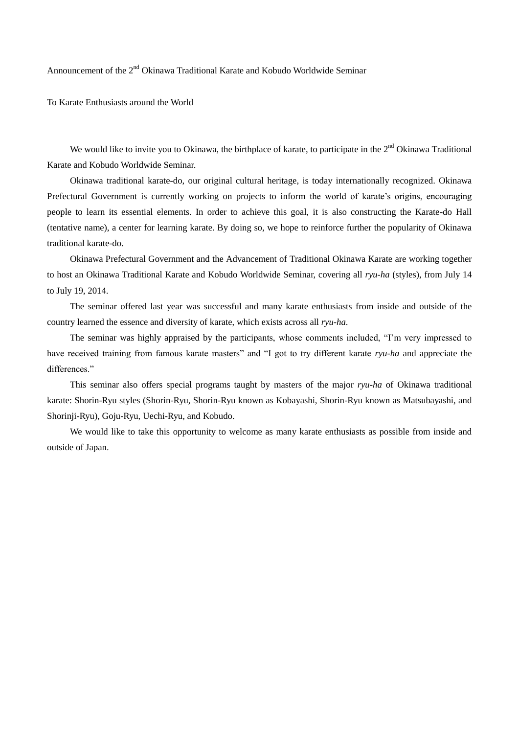Announcement of the  $2<sup>nd</sup>$  Okinawa Traditional Karate and Kobudo Worldwide Seminar

To Karate Enthusiasts around the World

We would like to invite you to Okinawa, the birthplace of karate, to participate in the 2<sup>nd</sup> Okinawa Traditional Karate and Kobudo Worldwide Seminar.

Okinawa traditional karate-do, our original cultural heritage, is today internationally recognized. Okinawa Prefectural Government is currently working on projects to inform the world of karate's origins, encouraging people to learn its essential elements. In order to achieve this goal, it is also constructing the Karate-do Hall (tentative name), a center for learning karate. By doing so, we hope to reinforce further the popularity of Okinawa traditional karate-do.

Okinawa Prefectural Government and the Advancement of Traditional Okinawa Karate are working together to host an Okinawa Traditional Karate and Kobudo Worldwide Seminar, covering all *ryu-ha* (styles), from July 14 to July 19, 2014.

The seminar offered last year was successful and many karate enthusiasts from inside and outside of the country learned the essence and diversity of karate, which exists across all *ryu-ha*.

The seminar was highly appraised by the participants, whose comments included, "I'm very impressed to have received training from famous karate masters" and "I got to try different karate *ryu-ha* and appreciate the differences."

This seminar also offers special programs taught by masters of the major *ryu-ha* of Okinawa traditional karate: Shorin-Ryu styles (Shorin-Ryu, Shorin-Ryu known as Kobayashi, Shorin-Ryu known as Matsubayashi, and Shorinji-Ryu), Goju-Ryu, Uechi-Ryu, and Kobudo.

We would like to take this opportunity to welcome as many karate enthusiasts as possible from inside and outside of Japan.